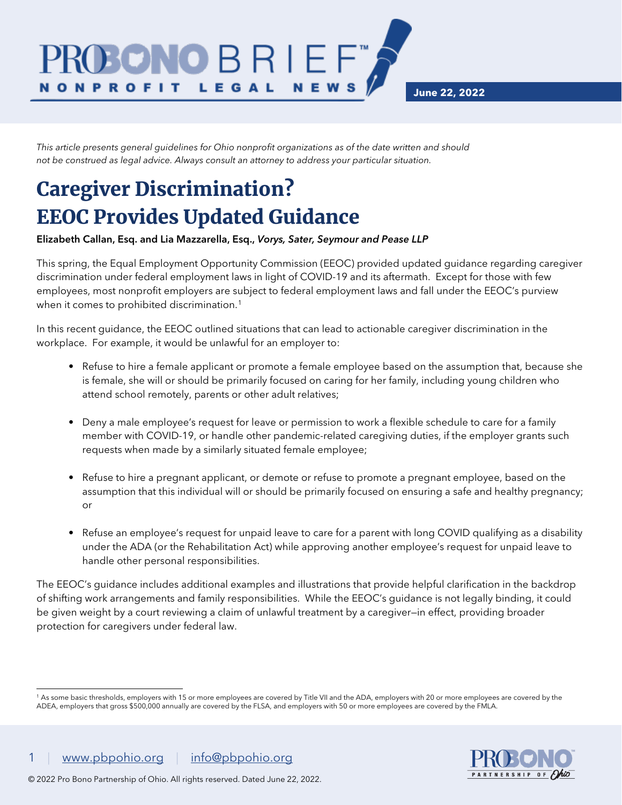**June 22, 2022**

*This article presents general guidelines for Ohio nonprofit organizations as of the date written and should not be construed as legal advice. Always consult an attorney to address your particular situation.*

DNO B R I E F

LEGAL

## Caregiver Discrimination? EEOC Provides Updated Guidance

**N O N P R O F I T** 

## Elizabeth Callan, Esq. and Lia Mazzarella, Esq., *Vorys, Sater, Seymour and Pease LLP*

This spring, the Equal Employment Opportunity Commission (EEOC) provided updated guidance regarding caregiver discrimination under federal employment laws in light of COVID-19 and its aftermath. Except for those with few employees, most nonprofit employers are subject to federal employment laws and fall under the EEOC's purview when it comes to prohibited discrimination.<sup>[1](#page-0-0)</sup>

**NEWS** 

In this recent guidance, the EEOC outlined situations that can lead to actionable caregiver discrimination in the workplace. For example, it would be unlawful for an employer to:

- Refuse to hire a female applicant or promote a female employee based on the assumption that, because she is female, she will or should be primarily focused on caring for her family, including young children who attend school remotely, parents or other adult relatives;
- Deny a male employee's request for leave or permission to work a flexible schedule to care for a family member with COVID-19, or handle other pandemic-related caregiving duties, if the employer grants such requests when made by a similarly situated female employee;
- Refuse to hire a pregnant applicant, or demote or refuse to promote a pregnant employee, based on the assumption that this individual will or should be primarily focused on ensuring a safe and healthy pregnancy; or
- Refuse an employee's request for unpaid leave to care for a parent with long COVID qualifying as a disability under the ADA (or the Rehabilitation Act) while approving another employee's request for unpaid leave to handle other personal responsibilities.

The EEOC's guidance includes additional examples and illustrations that provide helpful clarification in the backdrop of shifting work arrangements and family responsibilities. While the EEOC's guidance is not legally binding, it could be given weight by a court reviewing a claim of unlawful treatment by a caregiver—in effect, providing broader protection for caregivers under federal law.



<span id="page-0-0"></span><sup>1</sup> As some basic thresholds, employers with 15 or more employees are covered by Title VII and the ADA, employers with 20 or more employees are covered by the ADEA, employers that gross \$500,000 annually are covered by the FLSA, and employers with 50 or more employees are covered by the FMLA.